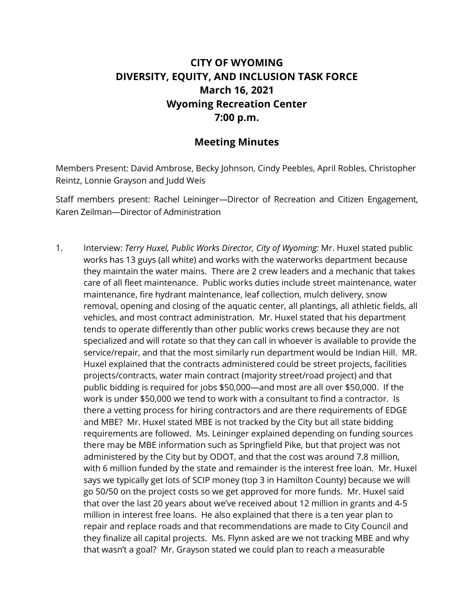## **CITY OF WYOMING DIVERSITY, EQUITY, AND INCLUSION TASK FORCE March 16, 2021 Wyoming Recreation Center 7:00 p.m.**

## **Meeting Minutes**

Members Present: David Ambrose, Becky Johnson, Cindy Peebles, April Robles, Christopher Reintz, Lonnie Grayson and Judd Weis

Staff members present: Rachel Leininger—Director of Recreation and Citizen Engagement, Karen Zeilman—Director of Administration

1. Interview: *Terry Huxel, Public Works Director, City of Wyoming:* Mr. Huxel stated public works has 13 guys (all white) and works with the waterworks department because they maintain the water mains. There are 2 crew leaders and a mechanic that takes care of all fleet maintenance. Public works duties include street maintenance, water maintenance, fire hydrant maintenance, leaf collection, mulch delivery, snow removal, opening and closing of the aquatic center, all plantings, all athletic fields, all vehicles, and most contract administration. Mr. Huxel stated that his department tends to operate differently than other public works crews because they are not specialized and will rotate so that they can call in whoever is available to provide the service/repair, and that the most similarly run department would be Indian Hill. MR. Huxel explained that the contracts administered could be street projects, facilities projects/contracts, water main contract (majority street/road project) and that public bidding is required for jobs \$50,000—and most are all over \$50,000. If the work is under \$50,000 we tend to work with a consultant to find a contractor. Is there a vetting process for hiring contractors and are there requirements of EDGE and MBE? Mr. Huxel stated MBE is not tracked by the City but all state bidding requirements are followed. Ms. Leininger explained depending on funding sources there may be MBE information such as Springfield Pike, but that project was not administered by the City but by ODOT, and that the cost was around 7.8 million, with 6 million funded by the state and remainder is the interest free loan. Mr. Huxel says we typically get lots of SCIP money (top 3 in Hamilton County) because we will go 50/50 on the project costs so we get approved for more funds. Mr. Huxel said that over the last 20 years about we've received about 12 million in grants and 4-5 million in interest free loans. He also explained that there is a ten year plan to repair and replace roads and that recommendations are made to City Council and they finalize all capital projects. Ms. Flynn asked are we not tracking MBE and why that wasn't a goal? Mr. Grayson stated we could plan to reach a measurable